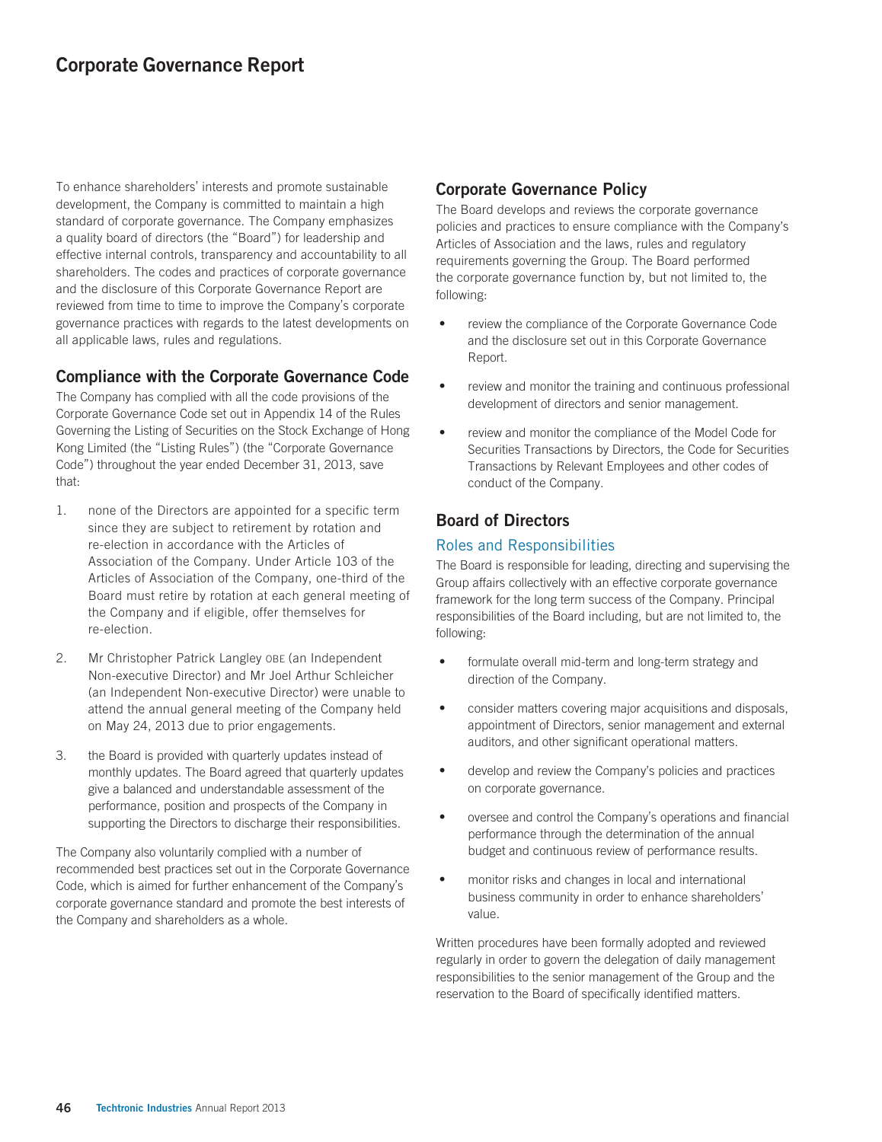# Corporate Governance Report

To enhance shareholders' interests and promote sustainable development, the Company is committed to maintain a high standard of corporate governance. The Company emphasizes a quality board of directors (the "Board") for leadership and effective internal controls, transparency and accountability to all shareholders. The codes and practices of corporate governance and the disclosure of this Corporate Governance Report are reviewed from time to time to improve the Company's corporate governance practices with regards to the latest developments on all applicable laws, rules and regulations.

## Compliance with the Corporate Governance Code

The Company has complied with all the code provisions of the Corporate Governance Code set out in Appendix 14 of the Rules Governing the Listing of Securities on the Stock Exchange of Hong Kong Limited (the "Listing Rules") (the "Corporate Governance Code") throughout the year ended December 31, 2013, save that:

- 1. none of the Directors are appointed for a specific term since they are subject to retirement by rotation and re-election in accordance with the Articles of Association of the Company. Under Article 103 of the Articles of Association of the Company, one-third of the Board must retire by rotation at each general meeting of the Company and if eligible, offer themselves for re-election.
- 2. Mr Christopher Patrick Langley OBE (an Independent Non-executive Director) and Mr Joel Arthur Schleicher (an Independent Non-executive Director) were unable to attend the annual general meeting of the Company held on May 24, 2013 due to prior engagements.
- 3. the Board is provided with quarterly updates instead of monthly updates. The Board agreed that quarterly updates give a balanced and understandable assessment of the performance, position and prospects of the Company in supporting the Directors to discharge their responsibilities.

The Company also voluntarily complied with a number of recommended best practices set out in the Corporate Governance Code, which is aimed for further enhancement of the Company's corporate governance standard and promote the best interests of the Company and shareholders as a whole.

# Corporate Governance Policy

The Board develops and reviews the corporate governance policies and practices to ensure compliance with the Company's Articles of Association and the laws, rules and regulatory requirements governing the Group. The Board performed the corporate governance function by, but not limited to, the following:

- review the compliance of the Corporate Governance Code and the disclosure set out in this Corporate Governance Report.
- ‧ review and monitor the training and continuous professional development of directors and senior management.
- ‧ review and monitor the compliance of the Model Code for Securities Transactions by Directors, the Code for Securities Transactions by Relevant Employees and other codes of conduct of the Company.

# Board of Directors

## Roles and Responsibilities

The Board is responsible for leading, directing and supervising the Group affairs collectively with an effective corporate governance framework for the long term success of the Company. Principal responsibilities of the Board including, but are not limited to, the following:

- formulate overall mid-term and long-term strategy and direction of the Company.
- consider matters covering major acquisitions and disposals, appointment of Directors, senior management and external auditors, and other significant operational matters.
- develop and review the Company's policies and practices on corporate governance.
- ‧ oversee and control the Company's operations and financial performance through the determination of the annual budget and continuous review of performance results.
- monitor risks and changes in local and international business community in order to enhance shareholders' value.

Written procedures have been formally adopted and reviewed regularly in order to govern the delegation of daily management responsibilities to the senior management of the Group and the reservation to the Board of specifically identified matters.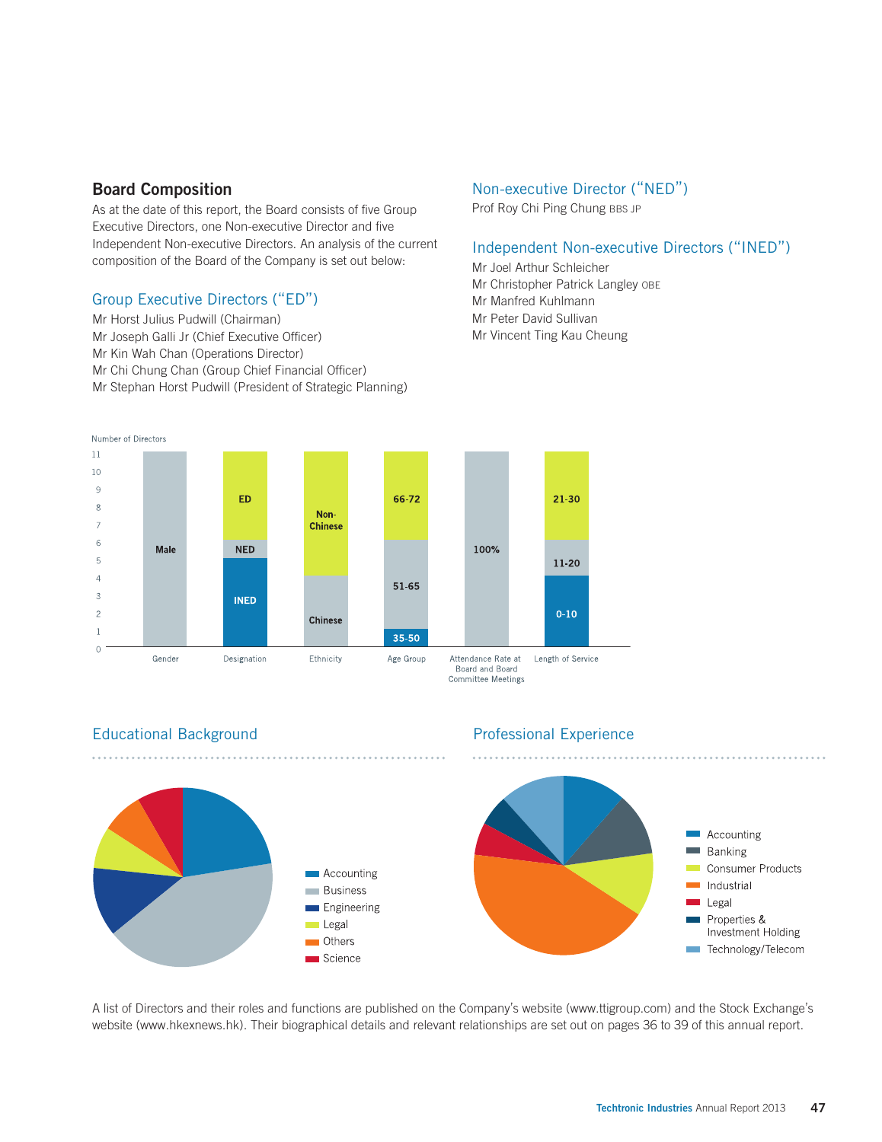## Board Composition

As at the date of this report, the Board consists of five Group Executive Directors, one Non-executive Director and five Independent Non-executive Directors. An analysis of the current composition of the Board of the Company is set out below:

## Group Executive Directors ("ED")

Mr Horst Julius Pudwill (Chairman) Mr Joseph Galli Jr (Chief Executive Officer) Mr Kin Wah Chan (Operations Director) Mr Chi Chung Chan (Group Chief Financial Officer) Mr Stephan Horst Pudwill (President of Strategic Planning)

#### Non-executive Director ("NED")

Prof Roy Chi Ping Chung BBS JP

#### Independent Non-executive Directors ("INED")

Mr Joel Arthur Schleicher Mr Christopher Patrick Langley OBE Mr Manfred Kuhlmann

- Mr Peter David Sullivan
- Mr Vincent Ting Kau Cheung



## Educational Background Professional Experience



A list of Directors and their roles and functions are published on the Company's website (www.ttigroup.com) and the Stock Exchange's website (www.hkexnews.hk). Their biographical details and relevant relationships are set out on pages 36 to 39 of this annual report.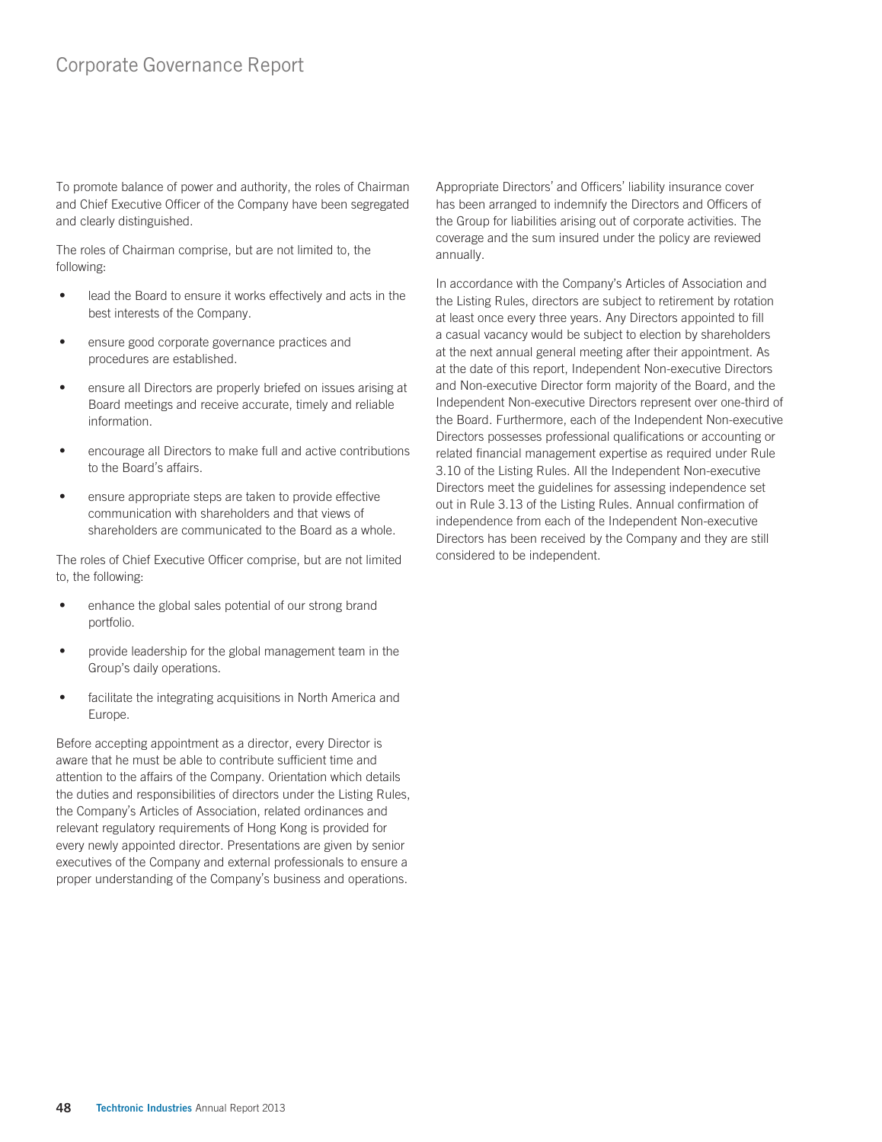To promote balance of power and authority, the roles of Chairman and Chief Executive Officer of the Company have been segregated and clearly distinguished.

The roles of Chairman comprise, but are not limited to, the following:

- lead the Board to ensure it works effectively and acts in the best interests of the Company.
- ‧ ensure good corporate governance practices and procedures are established.
- ‧ ensure all Directors are properly briefed on issues arising at Board meetings and receive accurate, timely and reliable information.
- encourage all Directors to make full and active contributions to the Board's affairs.
- ensure appropriate steps are taken to provide effective communication with shareholders and that views of shareholders are communicated to the Board as a whole.

The roles of Chief Executive Officer comprise, but are not limited to, the following:

- enhance the global sales potential of our strong brand portfolio.
- provide leadership for the global management team in the Group's daily operations.
- facilitate the integrating acquisitions in North America and Europe.

Before accepting appointment as a director, every Director is aware that he must be able to contribute sufficient time and attention to the affairs of the Company. Orientation which details the duties and responsibilities of directors under the Listing Rules, the Company's Articles of Association, related ordinances and relevant regulatory requirements of Hong Kong is provided for every newly appointed director. Presentations are given by senior executives of the Company and external professionals to ensure a proper understanding of the Company's business and operations.

Appropriate Directors' and Officers' liability insurance cover has been arranged to indemnify the Directors and Officers of the Group for liabilities arising out of corporate activities. The coverage and the sum insured under the policy are reviewed annually.

In accordance with the Company's Articles of Association and the Listing Rules, directors are subject to retirement by rotation at least once every three years. Any Directors appointed to fill a casual vacancy would be subject to election by shareholders at the next annual general meeting after their appointment. As at the date of this report, Independent Non-executive Directors and Non-executive Director form majority of the Board, and the Independent Non-executive Directors represent over one-third of the Board. Furthermore, each of the Independent Non-executive Directors possesses professional qualifications or accounting or related financial management expertise as required under Rule 3.10 of the Listing Rules. All the Independent Non-executive Directors meet the guidelines for assessing independence set out in Rule 3.13 of the Listing Rules. Annual confirmation of independence from each of the Independent Non-executive Directors has been received by the Company and they are still considered to be independent.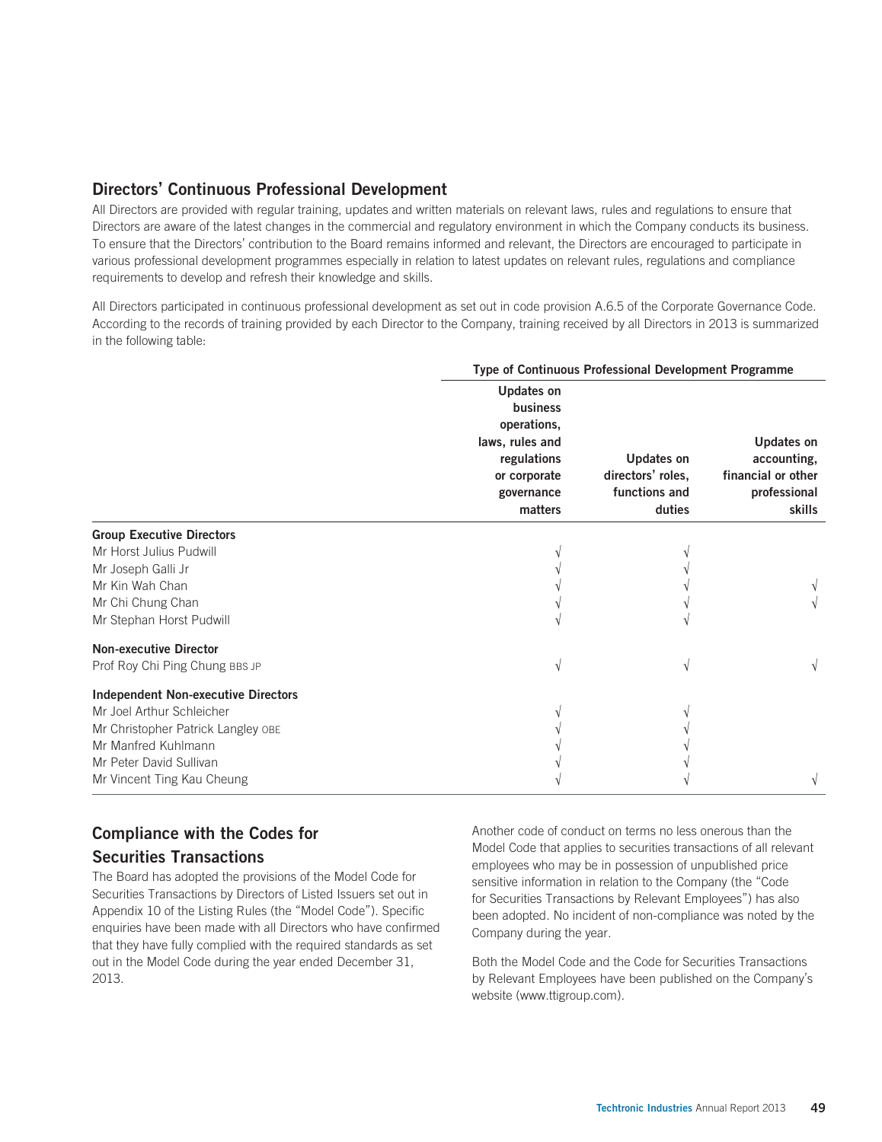# Directors' Continuous Professional Development

All Directors are provided with regular training, updates and written materials on relevant laws, rules and regulations to ensure that Directors are aware of the latest changes in the commercial and regulatory environment in which the Company conducts its business. To ensure that the Directors' contribution to the Board remains informed and relevant, the Directors are encouraged to participate in various professional development programmes especially in relation to latest updates on relevant rules, regulations and compliance requirements to develop and refresh their knowledge and skills.

All Directors participated in continuous professional development as set out in code provision A.6.5 of the Corporate Governance Code. According to the records of training provided by each Director to the Company, training received by all Directors in 2013 is summarized in the following table:

|                                            | Type of Continuous Professional Development Programme                                                                   |                                                            |                                                                           |  |  |  |
|--------------------------------------------|-------------------------------------------------------------------------------------------------------------------------|------------------------------------------------------------|---------------------------------------------------------------------------|--|--|--|
|                                            | <b>Updates on</b><br>business<br>operations,<br>laws, rules and<br>regulations<br>or corporate<br>governance<br>matters | Updates on<br>directors' roles,<br>functions and<br>duties | Updates on<br>accounting,<br>financial or other<br>professional<br>skills |  |  |  |
| <b>Group Executive Directors</b>           |                                                                                                                         |                                                            |                                                                           |  |  |  |
| Mr Horst Julius Pudwill                    |                                                                                                                         |                                                            |                                                                           |  |  |  |
| Mr Joseph Galli Jr                         |                                                                                                                         |                                                            |                                                                           |  |  |  |
| Mr Kin Wah Chan                            |                                                                                                                         |                                                            |                                                                           |  |  |  |
| Mr Chi Chung Chan                          |                                                                                                                         |                                                            |                                                                           |  |  |  |
| Mr Stephan Horst Pudwill                   |                                                                                                                         |                                                            |                                                                           |  |  |  |
| <b>Non-executive Director</b>              |                                                                                                                         |                                                            |                                                                           |  |  |  |
| Prof Roy Chi Ping Chung BBS JP             |                                                                                                                         |                                                            |                                                                           |  |  |  |
| <b>Independent Non-executive Directors</b> |                                                                                                                         |                                                            |                                                                           |  |  |  |
| Mr Joel Arthur Schleicher                  |                                                                                                                         |                                                            |                                                                           |  |  |  |
| Mr Christopher Patrick Langley OBE         |                                                                                                                         |                                                            |                                                                           |  |  |  |
| Mr Manfred Kuhlmann                        |                                                                                                                         |                                                            |                                                                           |  |  |  |
| Mr Peter David Sullivan                    |                                                                                                                         |                                                            |                                                                           |  |  |  |
| Mr Vincent Ting Kau Cheung                 |                                                                                                                         |                                                            |                                                                           |  |  |  |

# Compliance with the Codes for Securities Transactions

The Board has adopted the provisions of the Model Code for Securities Transactions by Directors of Listed Issuers set out in Appendix 10 of the Listing Rules (the "Model Code"). Specific enquiries have been made with all Directors who have confirmed that they have fully complied with the required standards as set out in the Model Code during the year ended December 31, 2013.

Another code of conduct on terms no less onerous than the Model Code that applies to securities transactions of all relevant employees who may be in possession of unpublished price sensitive information in relation to the Company (the "Code for Securities Transactions by Relevant Employees") has also been adopted. No incident of non-compliance was noted by the Company during the year.

Both the Model Code and the Code for Securities Transactions by Relevant Employees have been published on the Company's website (www.ttigroup.com).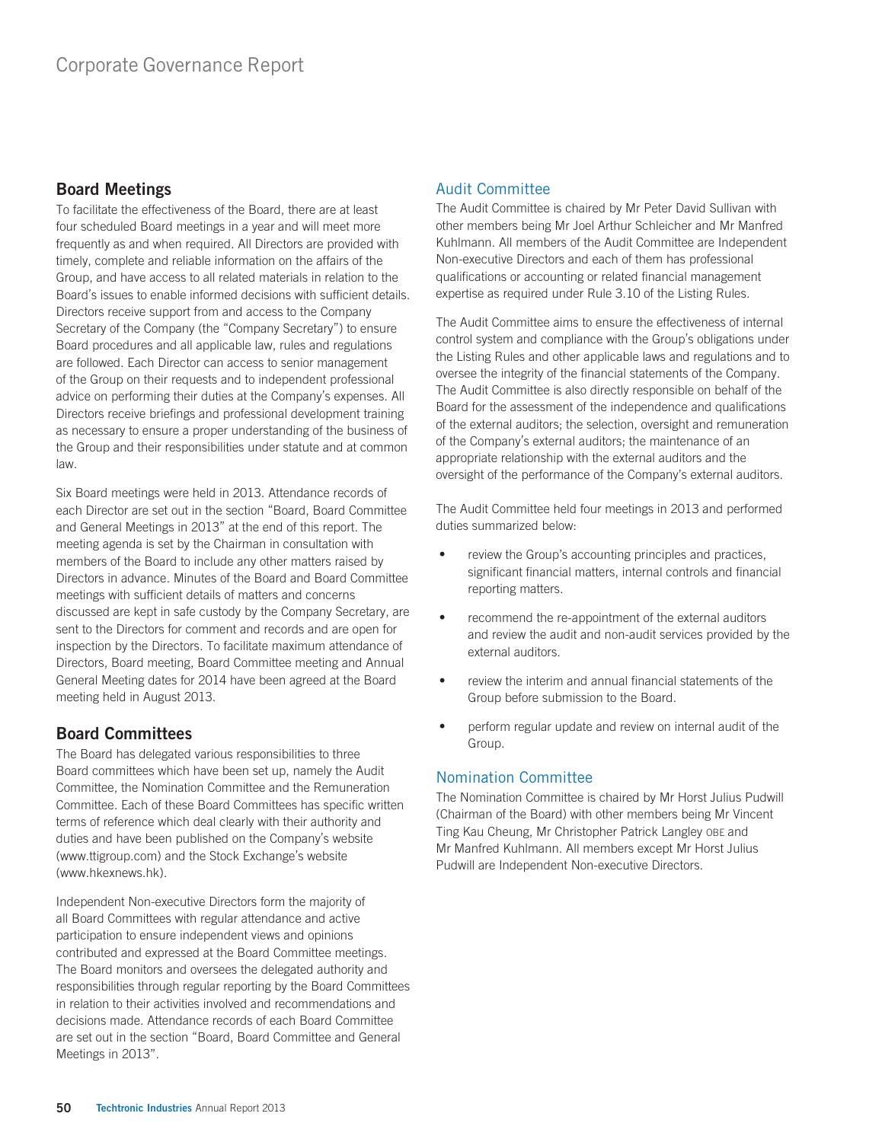# Board Meetings

To facilitate the effectiveness of the Board, there are at least four scheduled Board meetings in a year and will meet more frequently as and when required. All Directors are provided with timely, complete and reliable information on the affairs of the Group, and have access to all related materials in relation to the Board's issues to enable informed decisions with sufficient details. Directors receive support from and access to the Company Secretary of the Company (the "Company Secretary") to ensure Board procedures and all applicable law, rules and regulations are followed. Each Director can access to senior management of the Group on their requests and to independent professional advice on performing their duties at the Company's expenses. All Directors receive briefings and professional development training as necessary to ensure a proper understanding of the business of the Group and their responsibilities under statute and at common law.

Six Board meetings were held in 2013. Attendance records of each Director are set out in the section "Board, Board Committee and General Meetings in 2013" at the end of this report. The meeting agenda is set by the Chairman in consultation with members of the Board to include any other matters raised by Directors in advance. Minutes of the Board and Board Committee meetings with sufficient details of matters and concerns discussed are kept in safe custody by the Company Secretary, are sent to the Directors for comment and records and are open for inspection by the Directors. To facilitate maximum attendance of Directors, Board meeting, Board Committee meeting and Annual General Meeting dates for 2014 have been agreed at the Board meeting held in August 2013.

# Board Committees

The Board has delegated various responsibilities to three Board committees which have been set up, namely the Audit Committee, the Nomination Committee and the Remuneration Committee. Each of these Board Committees has specific written terms of reference which deal clearly with their authority and duties and have been published on the Company's website (www.ttigroup.com) and the Stock Exchange's website (www.hkexnews.hk).

Independent Non-executive Directors form the majority of all Board Committees with regular attendance and active participation to ensure independent views and opinions contributed and expressed at the Board Committee meetings. The Board monitors and oversees the delegated authority and responsibilities through regular reporting by the Board Committees in relation to their activities involved and recommendations and decisions made. Attendance records of each Board Committee are set out in the section "Board, Board Committee and General Meetings in 2013".

## Audit Committee

The Audit Committee is chaired by Mr Peter David Sullivan with other members being Mr Joel Arthur Schleicher and Mr Manfred Kuhlmann. All members of the Audit Committee are Independent Non-executive Directors and each of them has professional qualifications or accounting or related financial management expertise as required under Rule 3.10 of the Listing Rules.

The Audit Committee aims to ensure the effectiveness of internal control system and compliance with the Group's obligations under the Listing Rules and other applicable laws and regulations and to oversee the integrity of the financial statements of the Company. The Audit Committee is also directly responsible on behalf of the Board for the assessment of the independence and qualifications of the external auditors; the selection, oversight and remuneration of the Company's external auditors; the maintenance of an appropriate relationship with the external auditors and the oversight of the performance of the Company's external auditors.

The Audit Committee held four meetings in 2013 and performed duties summarized below:

- review the Group's accounting principles and practices, significant financial matters, internal controls and financial reporting matters.
- ‧ recommend the re-appointment of the external auditors and review the audit and non-audit services provided by the external auditors.
- review the interim and annual financial statements of the Group before submission to the Board.
- perform regular update and review on internal audit of the Group.

## Nomination Committee

The Nomination Committee is chaired by Mr Horst Julius Pudwill (Chairman of the Board) with other members being Mr Vincent Ting Kau Cheung, Mr Christopher Patrick Langley OBE and Mr Manfred Kuhlmann. All members except Mr Horst Julius Pudwill are Independent Non-executive Directors.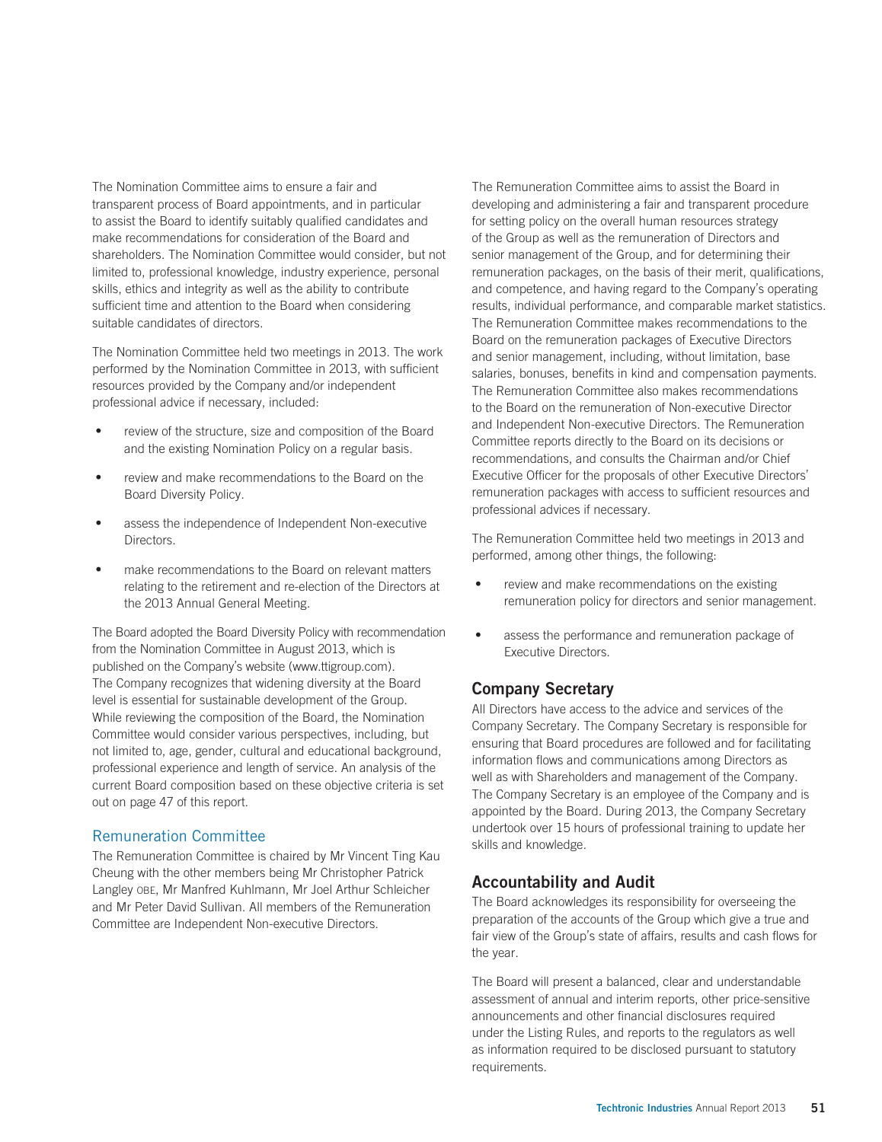The Nomination Committee aims to ensure a fair and transparent process of Board appointments, and in particular to assist the Board to identify suitably qualified candidates and make recommendations for consideration of the Board and shareholders. The Nomination Committee would consider, but not limited to, professional knowledge, industry experience, personal skills, ethics and integrity as well as the ability to contribute sufficient time and attention to the Board when considering suitable candidates of directors.

The Nomination Committee held two meetings in 2013. The work performed by the Nomination Committee in 2013, with sufficient resources provided by the Company and/or independent professional advice if necessary, included:

- review of the structure, size and composition of the Board and the existing Nomination Policy on a regular basis.
- review and make recommendations to the Board on the Board Diversity Policy.
- assess the independence of Independent Non-executive Directors.
- make recommendations to the Board on relevant matters relating to the retirement and re-election of the Directors at the 2013 Annual General Meeting.

The Board adopted the Board Diversity Policy with recommendation from the Nomination Committee in August 2013, which is published on the Company's website (www.ttigroup.com). The Company recognizes that widening diversity at the Board level is essential for sustainable development of the Group. While reviewing the composition of the Board, the Nomination Committee would consider various perspectives, including, but not limited to, age, gender, cultural and educational background, professional experience and length of service. An analysis of the current Board composition based on these objective criteria is set out on page 47 of this report.

## Remuneration Committee

The Remuneration Committee is chaired by Mr Vincent Ting Kau Cheung with the other members being Mr Christopher Patrick Langley OBE, Mr Manfred Kuhlmann, Mr Joel Arthur Schleicher and Mr Peter David Sullivan. All members of the Remuneration Committee are Independent Non-executive Directors.

The Remuneration Committee aims to assist the Board in developing and administering a fair and transparent procedure for setting policy on the overall human resources strategy of the Group as well as the remuneration of Directors and senior management of the Group, and for determining their remuneration packages, on the basis of their merit, qualifications, and competence, and having regard to the Company's operating results, individual performance, and comparable market statistics. The Remuneration Committee makes recommendations to the Board on the remuneration packages of Executive Directors and senior management, including, without limitation, base salaries, bonuses, benefits in kind and compensation payments. The Remuneration Committee also makes recommendations to the Board on the remuneration of Non-executive Director and Independent Non-executive Directors. The Remuneration Committee reports directly to the Board on its decisions or recommendations, and consults the Chairman and/or Chief Executive Officer for the proposals of other Executive Directors' remuneration packages with access to sufficient resources and professional advices if necessary.

The Remuneration Committee held two meetings in 2013 and performed, among other things, the following:

- review and make recommendations on the existing remuneration policy for directors and senior management.
- ‧ assess the performance and remuneration package of Executive Directors.

## Company Secretary

All Directors have access to the advice and services of the Company Secretary. The Company Secretary is responsible for ensuring that Board procedures are followed and for facilitating information flows and communications among Directors as well as with Shareholders and management of the Company. The Company Secretary is an employee of the Company and is appointed by the Board. During 2013, the Company Secretary undertook over 15 hours of professional training to update her skills and knowledge.

## Accountability and Audit

The Board acknowledges its responsibility for overseeing the preparation of the accounts of the Group which give a true and fair view of the Group's state of affairs, results and cash flows for the year.

The Board will present a balanced, clear and understandable assessment of annual and interim reports, other price-sensitive announcements and other financial disclosures required under the Listing Rules, and reports to the regulators as well as information required to be disclosed pursuant to statutory requirements.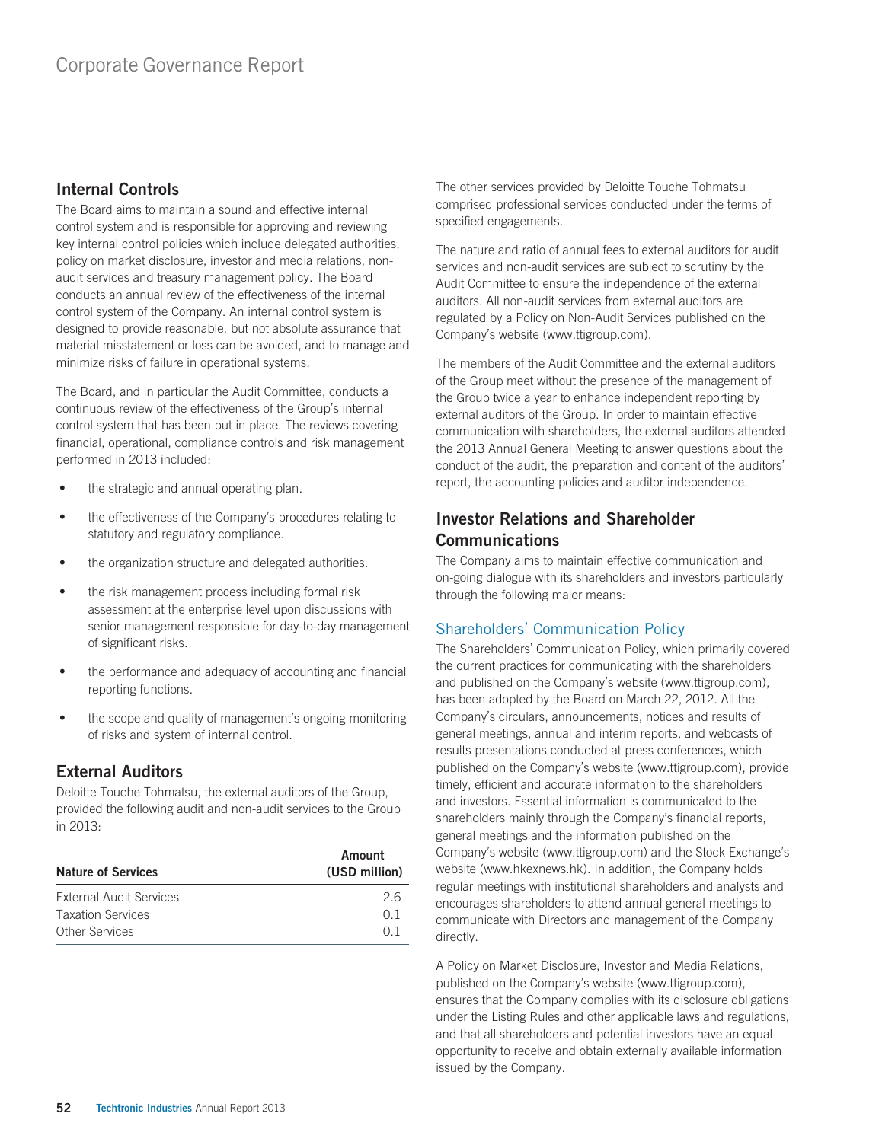## Internal Controls

The Board aims to maintain a sound and effective internal control system and is responsible for approving and reviewing key internal control policies which include delegated authorities, policy on market disclosure, investor and media relations, nonaudit services and treasury management policy. The Board conducts an annual review of the effectiveness of the internal control system of the Company. An internal control system is designed to provide reasonable, but not absolute assurance that material misstatement or loss can be avoided, and to manage and minimize risks of failure in operational systems.

The Board, and in particular the Audit Committee, conducts a continuous review of the effectiveness of the Group's internal control system that has been put in place. The reviews covering financial, operational, compliance controls and risk management performed in 2013 included:

- the strategic and annual operating plan.
- the effectiveness of the Company's procedures relating to statutory and regulatory compliance.
- the organization structure and delegated authorities.
- the risk management process including formal risk assessment at the enterprise level upon discussions with senior management responsible for day-to-day management of significant risks.
- the performance and adequacy of accounting and financial reporting functions.
- the scope and quality of management's ongoing monitoring of risks and system of internal control.

# External Auditors

Deloitte Touche Tohmatsu, the external auditors of the Group, provided the following audit and non-audit services to the Group in 2013:

| <b>Nature of Services</b> | Amount<br>(USD million) |  |
|---------------------------|-------------------------|--|
| External Audit Services   | 26                      |  |
| <b>Taxation Services</b>  | O 1                     |  |
| Other Services            | ∩ 1                     |  |

The other services provided by Deloitte Touche Tohmatsu comprised professional services conducted under the terms of specified engagements.

The nature and ratio of annual fees to external auditors for audit services and non-audit services are subject to scrutiny by the Audit Committee to ensure the independence of the external auditors. All non-audit services from external auditors are regulated by a Policy on Non-Audit Services published on the Company's website (www.ttigroup.com).

The members of the Audit Committee and the external auditors of the Group meet without the presence of the management of the Group twice a year to enhance independent reporting by external auditors of the Group. In order to maintain effective communication with shareholders, the external auditors attended the 2013 Annual General Meeting to answer questions about the conduct of the audit, the preparation and content of the auditors' report, the accounting policies and auditor independence.

# Investor Relations and Shareholder Communications

The Company aims to maintain effective communication and on-going dialogue with its shareholders and investors particularly through the following major means:

## Shareholders' Communication Policy

The Shareholders' Communication Policy, which primarily covered the current practices for communicating with the shareholders and published on the Company's website (www.ttigroup.com), has been adopted by the Board on March 22, 2012. All the Company's circulars, announcements, notices and results of general meetings, annual and interim reports, and webcasts of results presentations conducted at press conferences, which published on the Company's website (www.ttigroup.com), provide timely, efficient and accurate information to the shareholders and investors. Essential information is communicated to the shareholders mainly through the Company's financial reports, general meetings and the information published on the Company's website (www.ttigroup.com) and the Stock Exchange's website (www.hkexnews.hk). In addition, the Company holds regular meetings with institutional shareholders and analysts and encourages shareholders to attend annual general meetings to communicate with Directors and management of the Company directly.

A Policy on Market Disclosure, Investor and Media Relations, published on the Company's website (www.ttigroup.com), ensures that the Company complies with its disclosure obligations under the Listing Rules and other applicable laws and regulations, and that all shareholders and potential investors have an equal opportunity to receive and obtain externally available information issued by the Company.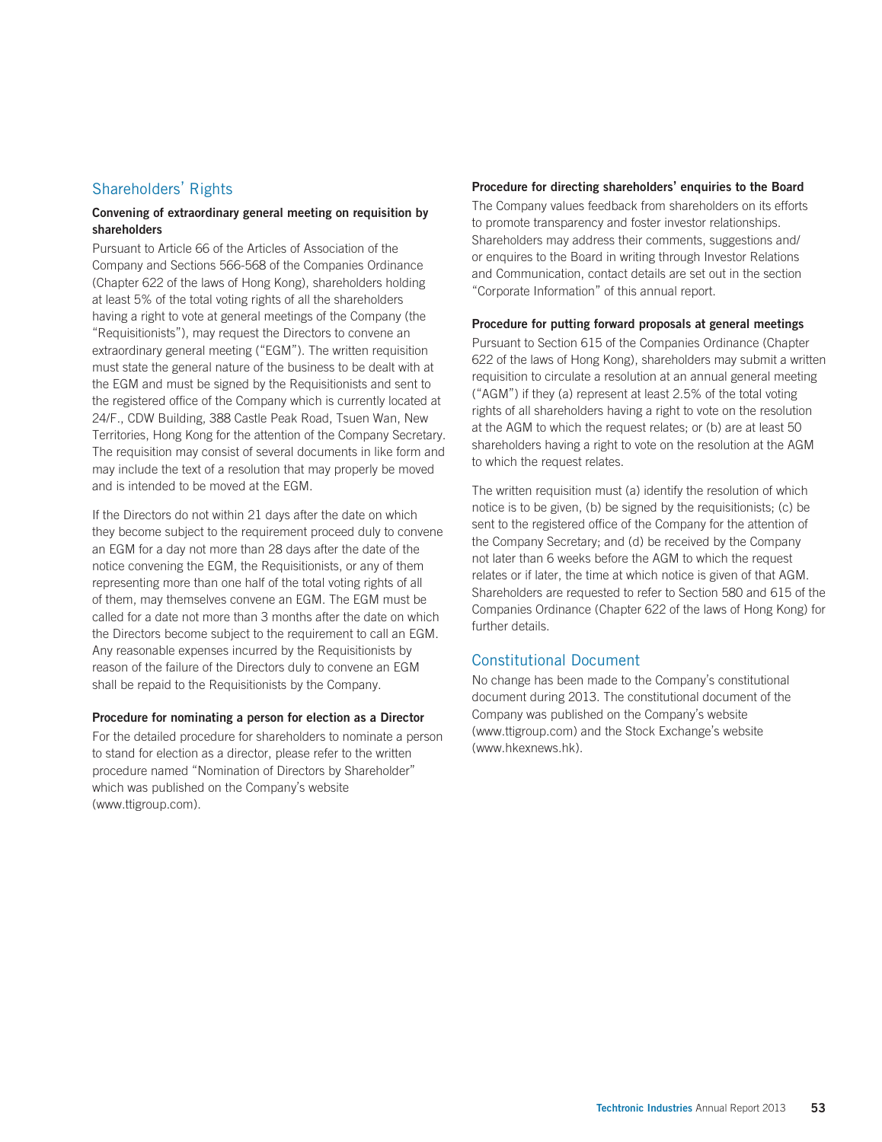#### Shareholders' Rights

#### Convening of extraordinary general meeting on requisition by shareholders

Pursuant to Article 66 of the Articles of Association of the Company and Sections 566-568 of the Companies Ordinance (Chapter 622 of the laws of Hong Kong), shareholders holding at least 5% of the total voting rights of all the shareholders having a right to vote at general meetings of the Company (the "Requisitionists"), may request the Directors to convene an extraordinary general meeting ("EGM"). The written requisition must state the general nature of the business to be dealt with at the EGM and must be signed by the Requisitionists and sent to the registered office of the Company which is currently located at 24/F., CDW Building, 388 Castle Peak Road, Tsuen Wan, New Territories, Hong Kong for the attention of the Company Secretary. The requisition may consist of several documents in like form and may include the text of a resolution that may properly be moved and is intended to be moved at the EGM.

If the Directors do not within 21 days after the date on which they become subject to the requirement proceed duly to convene an EGM for a day not more than 28 days after the date of the notice convening the EGM, the Requisitionists, or any of them representing more than one half of the total voting rights of all of them, may themselves convene an EGM. The EGM must be called for a date not more than 3 months after the date on which the Directors become subject to the requirement to call an EGM. Any reasonable expenses incurred by the Requisitionists by reason of the failure of the Directors duly to convene an EGM shall be repaid to the Requisitionists by the Company.

#### Procedure for nominating a person for election as a Director

For the detailed procedure for shareholders to nominate a person to stand for election as a director, please refer to the written procedure named "Nomination of Directors by Shareholder" which was published on the Company's website (www.ttigroup.com).

#### Procedure for directing shareholders' enquiries to the Board

The Company values feedback from shareholders on its efforts to promote transparency and foster investor relationships. Shareholders may address their comments, suggestions and/ or enquires to the Board in writing through Investor Relations and Communication, contact details are set out in the section "Corporate Information" of this annual report.

#### Procedure for putting forward proposals at general meetings

Pursuant to Section 615 of the Companies Ordinance (Chapter 622 of the laws of Hong Kong), shareholders may submit a written requisition to circulate a resolution at an annual general meeting ("AGM") if they (a) represent at least 2.5% of the total voting rights of all shareholders having a right to vote on the resolution at the AGM to which the request relates; or (b) are at least 50 shareholders having a right to vote on the resolution at the AGM to which the request relates.

The written requisition must (a) identify the resolution of which notice is to be given, (b) be signed by the requisitionists; (c) be sent to the registered office of the Company for the attention of the Company Secretary; and (d) be received by the Company not later than 6 weeks before the AGM to which the request relates or if later, the time at which notice is given of that AGM. Shareholders are requested to refer to Section 580 and 615 of the Companies Ordinance (Chapter 622 of the laws of Hong Kong) for further details.

#### Constitutional Document

No change has been made to the Company's constitutional document during 2013. The constitutional document of the Company was published on the Company's website (www.ttigroup.com) and the Stock Exchange's website (www.hkexnews.hk).